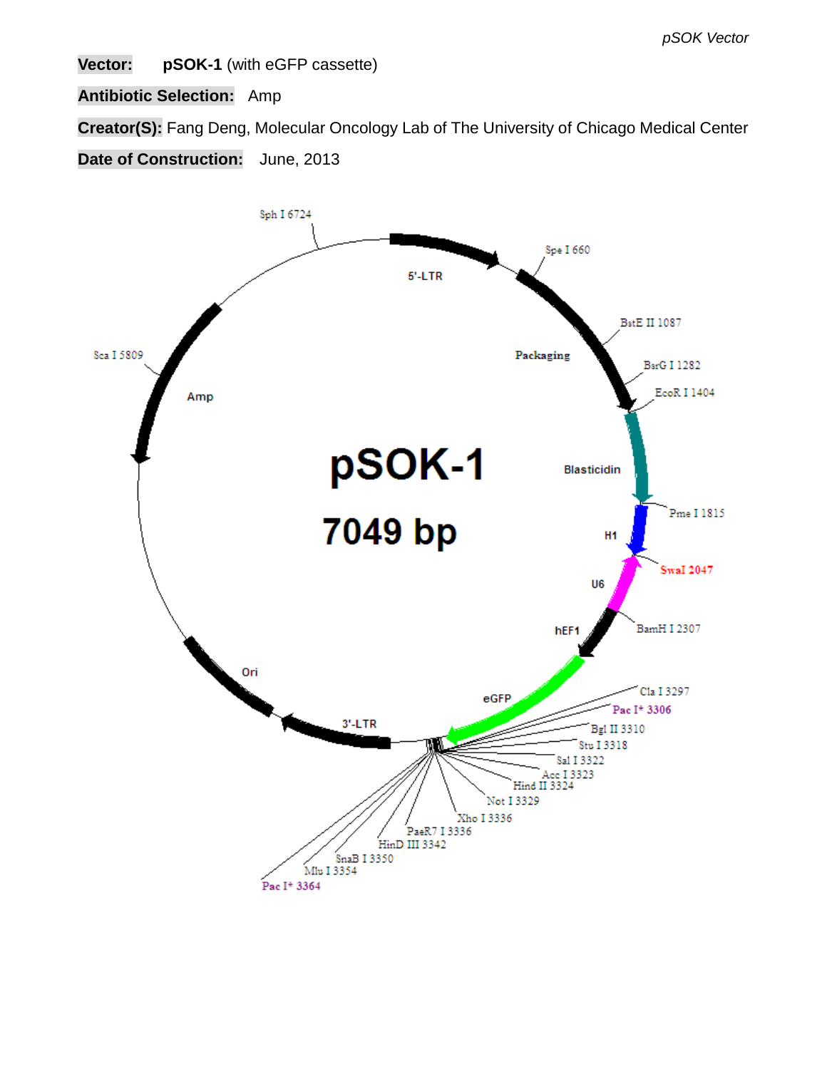**Vector: pSOK-1** (with eGFP cassette)

**Antibiotic Selection:** Amp

**Creator(S):** Fang Deng, Molecular Oncology Lab of The University of Chicago Medical Center

**Date of Construction:** June, 2013

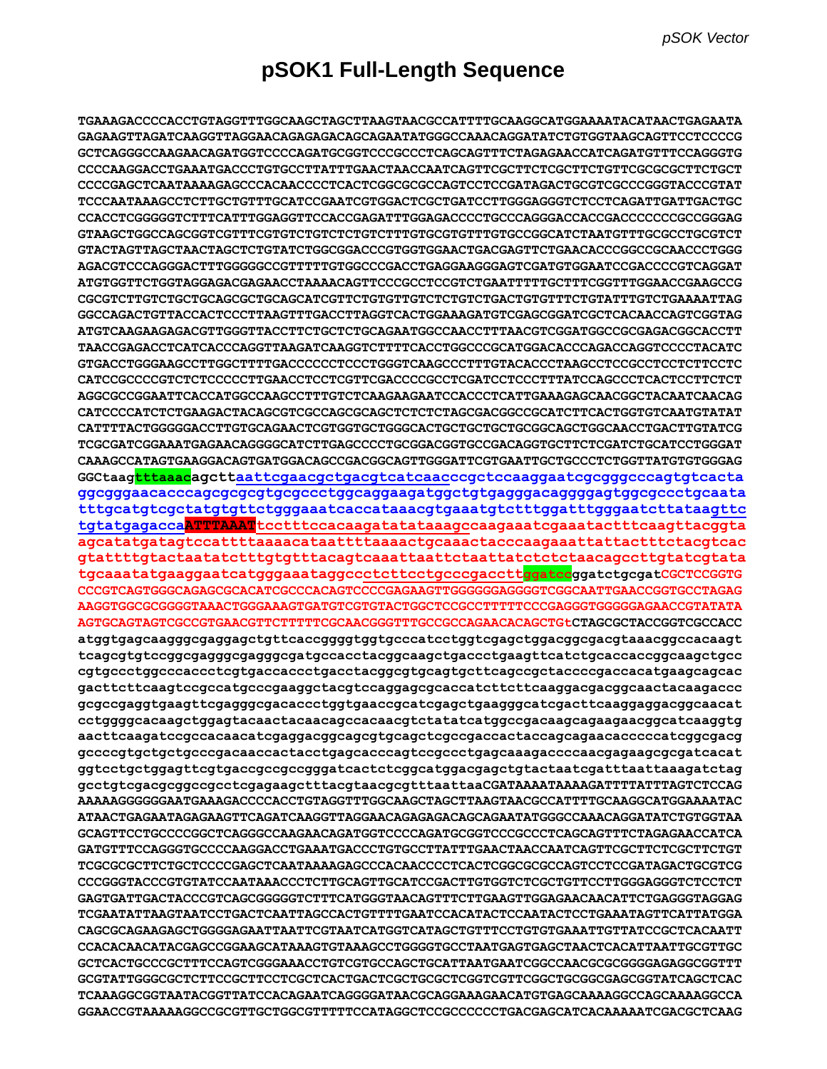## **pSOK1 Full-Length Sequence**

**TGAAAGACCCCACCTGTAGGTTTGGCAAGCTAGCTTAAGTAACGCCATTTTGCAAGGCATGGAAAATACATAACTGAGAATA GAGAAGTTAGATCAAGGTTAGGAACAGAGAGACAGCAGAATATGGGCCAAACAGGATATCTGTGGTAAGCAGTTCCTCCCCG GCTCAGGGCCAAGAACAGATGGTCCCCAGATGCGGTCCCGCCCTCAGCAGTTTCTAGAGAACCATCAGATGTTTCCAGGGTG CCCCAAGGACCTGAAATGACCCTGTGCCTTATTTGAACTAACCAATCAGTTCGCTTCTCGCTTCTGTTCGCGCGCTTCTGCT CCCCGAGCTCAATAAAAGAGCCCACAACCCCTCACTCGGCGCGCCAGTCCTCCGATAGACTGCGTCGCCCGGGTACCCGTAT TCCCAATAAAGCCTCTTGCTGTTTGCATCCGAATCGTGGACTCGCTGATCCTTGGGAGGGTCTCCTCAGATTGATTGACTGC CCACCTCGGGGGTCTTTCATTTGGAGGTTCCACCGAGATTTGGAGACCCCTGCCCAGGGACCACCGACCCCCCCGCCGGGAG GTAAGCTGGCCAGCGGTCGTTTCGTGTCTGTCTCTGTCTTTGTGCGTGTTTGTGCCGGCATCTAATGTTTGCGCCTGCGTCT GTACTAGTTAGCTAACTAGCTCTGTATCTGGCGGACCCGTGGTGGAACTGACGAGTTCTGAACACCCGGCCGCAACCCTGGG AGACGTCCCAGGGACTTTGGGGGCCGTTTTTGTGGCCCGACCTGAGGAAGGGAGTCGATGTGGAATCCGACCCCGTCAGGAT ATGTGGTTCTGGTAGGAGACGAGAACCTAAAACAGTTCCCGCCTCCGTCTGAATTTTTGCTTTCGGTTTGGAACCGAAGCCG CGCGTCTTGTCTGCTGCAGCGCTGCAGCATCGTTCTGTGTTGTCTCTGTCTGACTGTGTTTCTGTATTTGTCTGAAAATTAG GGCCAGACTGTTACCACTCCCTTAAGTTTGACCTTAGGTCACTGGAAAGATGTCGAGCGGATCGCTCACAACCAGTCGGTAG ATGTCAAGAAGAGACGTTGGGTTACCTTCTGCTCTGCAGAATGGCCAACCTTTAACGTCGGATGGCCGCGAGACGGCACCTT TAACCGAGACCTCATCACCCAGGTTAAGATCAAGGTCTTTTCACCTGGCCCGCATGGACACCCAGACCAGGTCCCCTACATC GTGACCTGGGAAGCCTTGGCTTTTGACCCCCCTCCCTGGGTCAAGCCCTTTGTACACCCTAAGCCTCCGCCTCCTCTTCCTC CATCCGCCCCGTCTCTCCCCCTTGAACCTCCTCGTTCGACCCCGCCTCGATCCTCCCTTTATCCAGCCCTCACTCCTTCTCT AGGCGCCGGAATTCACCATGGCCAAGCCTTTGTCTCAAGAAGAATCCACCCTCATTGAAAGAGCAACGGCTACAATCAACAG CATCCCCATCTCTGAAGACTACAGCGTCGCCAGCGCAGCTCTCTCTAGCGACGGCCGCATCTTCACTGGTGTCAATGTATAT CATTTTACTGGGGGACCTTGTGCAGAACTCGTGGTGCTGGGCACTGCTGCTGCTGCGGCAGCTGGCAACCTGACTTGTATCG TCGCGATCGGAAATGAGAACAGGGGCATCTTGAGCCCCTGCGGACGGTGCCGACAGGTGCTTCTCGATCTGCATCCTGGGAT CAAAGCCATAGTGAAGGACAGTGATGGACAGCCGACGGCAGTTGGGATTCGTGAATTGCTGCCCTCTGGTTATGTGTGGGAG GGCtaagtttaaacagcttaattcgaacgctgacgtcatcaacccgctccaaggaatcgcgggcccagtgtcacta ggcgggaacacccagcgcgcgtgcgccctggcaggaagatggctgtgagggacaggggagtggcgccctgcaata tttgcatgtcgctatgtgttctgggaaatcaccataaacgtgaaatgtctttggatttgggaatcttataagttc tgtatgagaccaATTTAAATtcctttccacaagatatataaagccaagaaatcgaaatactttcaagttacggta agcatatgatagtccattttaaaacataattttaaaactgcaaactacccaagaaattattactttctacgtcac gtattttgtactaatatctttgtgtttacagtcaaattaattctaattatctctctaacagccttgtatcgtata tgcaaatatgaaggaatcatgggaaataggccctcttcctgcccgaccttggatccggatctgcgatCGCTCCGGTG CCCGTCAGTGGGCAGAGCGCACATCGCCCACAGTCCCCGAGAAGTTGGGGGGAGGGGTCGGCAATTGAACCGGTGCCTAGAG AAGGTGGCGCGGGGTAAACTGGGAAAGTGATGTCGTGTACTGGCTCCGCCTTTTTCCCGAGGGTGGGGGAGAACCGTATATA AGTGCAGTAGTCGCCGTGAACGTTCTTTTTCGCAACGGGTTTGCCGCCAGAACACAGCTGtCTAGCGCTACCGGTCGCCACC atggtgagcaagggcgaggagctgttcaccggggtggtgcccatcctggtcgagctggacggcgacgtaaacggccacaagt tcagcgtgtccggcgagggcgagggcgatgccacctacggcaagctgaccctgaagttcatctgcaccaccggcaagctgcc cgtgccctggcccaccctcgtgaccaccctgacctacggcgtgcagtgcttcagccgctaccccgaccacatgaagcagcac gacttcttcaagtccgccatgcccgaaggctacgtccaggagcgcaccatcttcttcaaggacgacggcaactacaagaccc gcgccgaggtgaagttcgagggcgacaccctggtgaaccgcatcgagctgaagggcatcgacttcaaggaggacggcaacat cctggggcacaagctggagtacaactacaacagccacaacgtctatatcatggccgacaagcagaagaacggcatcaaggtg aacttcaagatccgccacaacatcgaggacggcagcgtgcagctcgccgaccactaccagcagaacacccccatcggcgacg gccccgtgctgctgcccgacaaccactacctgagcacccagtccgccctgagcaaagaccccaacgagaagcgcgatcacat ggtcctgctggagttcgtgaccgccgccgggatcactctcggcatggacgagctgtactaatcgatttaattaaagatctag gcctgtcgacgcggccgcctcgagaagctttacgtaacgcgtttaattaaCGATAAAATAAAAGATTTTATTTAGTCTCCAG AAAAAGGGGGGAATGAAAGACCCCACCTGTAGGTTTGGCAAGCTAGCTTAAGTAACGCCATTTTGCAAGGCATGGAAAATAC ATAACTGAGAATAGAGAAGTTCAGATCAAGGTTAGGAACAGAGAGACAGCAGAATATGGGCCAAACAGGATATCTGTGGTAA GCAGTTCCTGCCCCGGCTCAGGGCCAAGAACAGATGGTCCCCAGATGCGGTCCCGCCCTCAGCAGTTTCTAGAGAACCATCA GATGTTTCCAGGGTGCCCCAAGGACCTGAAATGACCCTGTGCCTTATTTGAACTAACCAATCAGTTCGCTTCTCGCTTCTGT TCGCGCGCTTCTGCTCCCCGAGCTCAATAAAAGAGCCCACAACCCCTCACTCGGCGCGCCAGTCCTCCGATAGACTGCGTCG CCCGGGTACCCGTGTATCCAATAAACCCTCTTGCAGTTGCATCCGACTTGTGGTCTCGCTGTTCCTTGGGAGGGTCTCCTCT GAGTGATTGACTACCCGTCAGCGGGGGTCTTTCATGGGTAACAGTTTCTTGAAGTTGGAGAACAACATTCTGAGGGTAGGAG TCGAATATTAAGTAATCCTGACTCAATTAGCCACTGTTTTGAATCCACATACTCCAATACTCCTGAAATAGTTCATTATGGA CAGCGCAGAAGAGCTGGGGAGAATTAATTCGTAATCATGGTCATAGCTGTTTCCTGTGTGAAATTGTTATCCGCTCACAATT CCACACAACATACGAGCCGGAAGCATAAAGTGTAAAGCCTGGGGTGCCTAATGAGTGAGCTAACTCACATTAATTGCGTTGC GCTCACTGCCCGCTTTCCAGTCGGGAAACCTGTCGTGCCAGCTGCATTAATGAATCGGCCAACGCGCGGGGAGAGGCGGTTT GCGTATTGGGCGCTCTTCCGCTTCCTCGCTCACTGACTCGCTGCGCTCGGTCGTTCGGCTGCGGCGAGCGGTATCAGCTCAC TCAAAGGCGGTAATACGGTTATCCACAGAATCAGGGGATAACGCAGGAAAGAACATGTGAGCAAAAGGCCAGCAAAAGGCCA GGAACCGTAAAAAGGCCGCGTTGCTGGCGTTTTTCCATAGGCTCCGCCCCCCTGACGAGCATCACAAAAATCGACGCTCAAG**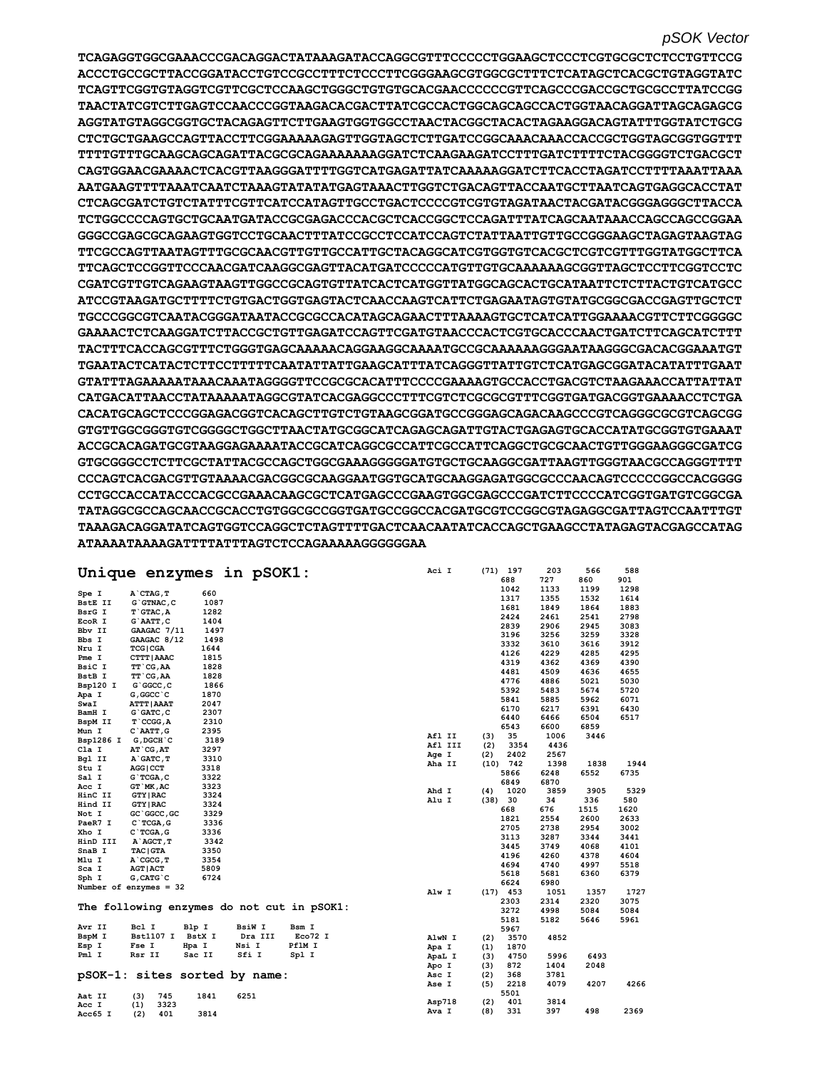**TCAGAGGTGGCGAAACCCGACAGGACTATAAAGATACCAGGCGTTTCCCCCTGGAAGCTCCCTCGTGCGCTCTCCTGTTCCG ACCCTGCCGCTTACCGGATACCTGTCCGCCTTTCTCCCTTCGGGAAGCGTGGCGCTTTCTCATAGCTCACGCTGTAGGTATC TCAGTTCGGTGTAGGTCGTTCGCTCCAAGCTGGGCTGTGTGCACGAACCCCCCGTTCAGCCCGACCGCTGCGCCTTATCCGG TAACTATCGTCTTGAGTCCAACCCGGTAAGACACGACTTATCGCCACTGGCAGCAGCCACTGGTAACAGGATTAGCAGAGCG AGGTATGTAGGCGGTGCTACAGAGTTCTTGAAGTGGTGGCCTAACTACGGCTACACTAGAAGGACAGTATTTGGTATCTGCG CTCTGCTGAAGCCAGTTACCTTCGGAAAAAGAGTTGGTAGCTCTTGATCCGGCAAACAAACCACCGCTGGTAGCGGTGGTTT TTTTGTTTGCAAGCAGCAGATTACGCGCAGAAAAAAAGGATCTCAAGAAGATCCTTTGATCTTTTCTACGGGGTCTGACGCT CAGTGGAACGAAAACTCACGTTAAGGGATTTTGGTCATGAGATTATCAAAAAGGATCTTCACCTAGATCCTTTTAAATTAAA AATGAAGTTTTAAATCAATCTAAAGTATATATGAGTAAACTTGGTCTGACAGTTACCAATGCTTAATCAGTGAGGCACCTAT CTCAGCGATCTGTCTATTTCGTTCATCCATAGTTGCCTGACTCCCCGTCGTGTAGATAACTACGATACGGGAGGGCTTACCA TCTGGCCCCAGTGCTGCAATGATACCGCGAGACCCACGCTCACCGGCTCCAGATTTATCAGCAATAAACCAGCCAGCCGGAA GGGCCGAGCGCAGAAGTGGTCCTGCAACTTTATCCGCCTCCATCCAGTCTATTAATTGTTGCCGGGAAGCTAGAGTAAGTAG TTCGCCAGTTAATAGTTTGCGCAACGTTGTTGCCATTGCTACAGGCATCGTGGTGTCACGCTCGTCGTTTGGTATGGCTTCA TTCAGCTCCGGTTCCCAACGATCAAGGCGAGTTACATGATCCCCCATGTTGTGCAAAAAAGCGGTTAGCTCCTTCGGTCCTC CGATCGTTGTCAGAAGTAAGTTGGCCGCAGTGTTATCACTCATGGTTATGGCAGCACTGCATAATTCTCTTACTGTCATGCC ATCCGTAAGATGCTTTTCTGTGACTGGTGAGTACTCAACCAAGTCATTCTGAGAATAGTGTATGCGGCGACCGAGTTGCTCT TGCCCGGCGTCAATACGGGATAATACCGCGCCACATAGCAGAACTTTAAAAGTGCTCATCATTGGAAAACGTTCTTCGGGGC GAAAACTCTCAAGGATCTTACCGCTGTTGAGATCCAGTTCGATGTAACCCACTCGTGCACCCAACTGATCTTCAGCATCTTT TACTTTCACCAGCGTTTCTGGGTGAGCAAAAACAGGAAGGCAAAATGCCGCAAAAAAGGGAATAAGGGCGACACGGAAATGT TGAATACTCATACTCTTCCTTTTTCAATATTATTGAAGCATTTATCAGGGTTATTGTCTCATGAGCGGATACATATTTGAAT GTATTTAGAAAAATAAACAAATAGGGGTTCCGCGCACATTTCCCCGAAAAGTGCCACCTGACGTCTAAGAAACCATTATTAT CATGACATTAACCTATAAAAATAGGCGTATCACGAGGCCCTTTCGTCTCGCGCGTTTCGGTGATGACGGTGAAAACCTCTGA CACATGCAGCTCCCGGAGACGGTCACAGCTTGTCTGTAAGCGGATGCCGGGAGCAGACAAGCCCGTCAGGGCGCGTCAGCGG GTGTTGGCGGGTGTCGGGGCTGGCTTAACTATGCGGCATCAGAGCAGATTGTACTGAGAGTGCACCATATGCGGTGTGAAAT ACCGCACAGATGCGTAAGGAGAAAATACCGCATCAGGCGCCATTCGCCATTCAGGCTGCGCAACTGTTGGGAAGGGCGATCG GTGCGGGCCTCTTCGCTATTACGCCAGCTGGCGAAAGGGGGATGTGCTGCAAGGCGATTAAGTTGGGTAACGCCAGGGTTTT CCCAGTCACGACGTTGTAAAACGACGGCGCAAGGAATGGTGCATGCAAGGAGATGGCGCCCAACAGTCCCCCGGCCACGGGG CCTGCCACCATACCCACGCCGAAACAAGCGCTCATGAGCCCGAAGTGGCGAGCCCGATCTTCCCCATCGGTGATGTCGGCGA TATAGGCGCCAGCAACCGCACCTGTGGCGCCGGTGATGCCGGCCACGATGCGTCCGGCGTAGAGGCGATTAGTCCAATTTGT TAAAGACAGGATATCAGTGGTCCAGGCTCTAGTTTTGACTCAACAATATCACCAGCTGAAGCCTATAGAGTACGAGCCATAG ATAAAATAAAAGATTTTATTTAGTCTCCAGAAAAAGGGGGGAA**

|                | Unique enzymes in pSOK1:                   |        |               |         | Aci I         |         |      | $(71)$ 197 | 203  | 566  | 588  |
|----------------|--------------------------------------------|--------|---------------|---------|---------------|---------|------|------------|------|------|------|
|                |                                            |        |               |         |               |         |      | 688        | 727  | 860  | 901  |
| Spe I          | A CTAG, T                                  | 660    |               |         |               |         |      | 1042       | 1133 | 1199 | 1298 |
| <b>BstE II</b> | $G$ $G$ TNAC, $C$                          | 1087   |               |         |               |         |      | 1317       | 1355 | 1532 | 1614 |
| BsrG I         | T GTAC, A                                  | 1282   |               |         |               |         |      | 1681       | 1849 | 1864 | 1883 |
| EcoR I         | G`AATT, C                                  | 1404   |               |         |               |         |      | 2424       | 2461 | 2541 | 2798 |
| Bby II         | GAAGAC 7/11                                | 1497   |               |         |               |         |      | 2839       | 2906 | 2945 | 3083 |
| Bbs I          | GAAGAC 8/12                                | 1498   |               |         |               |         |      | 3196       | 3256 | 3259 | 3328 |
| Nru I          | <b>TCG   CGA</b>                           | 1644   |               |         |               |         |      | 3332       | 3610 | 3616 | 3912 |
| Pme I          | CTTT   AAAC                                | 1815   |               |         |               |         |      | 4126       | 4229 | 4285 | 4295 |
| BsiC I         |                                            | 1828   |               |         |               |         |      | 4319       | 4362 | 4369 | 4390 |
| BstB I         | TT CG, AA<br>TT CG, AA                     | 1828   |               |         |               |         |      | 4481       | 4509 | 4636 | 4655 |
|                | G`GGCC, C                                  | 1866   |               |         |               |         |      | 4776       | 4886 | 5021 | 5030 |
| Bsp120 I       |                                            | 1870   |               |         |               |         |      | 5392       | 5483 | 5674 | 5720 |
| Apa I          | G, GGCC `C                                 |        |               |         |               |         |      | 5841       | 5885 | 5962 | 6071 |
| SwaI           | <b>ATTT   AAAT</b>                         | 2047   |               |         |               |         |      | 6170       | 6217 | 6391 | 6430 |
| BamH I         | $G$ $GATC$ , $C$                           | 2307   |               |         |               |         |      | 6440       | 6466 | 6504 | 6517 |
| BspM II        | $T$ $CCGG, A$                              | 2310   |               |         |               |         |      | 6543       | 6600 | 6859 |      |
| Mun I          | C`AATT, G                                  | 2395   |               |         | Afl II        |         | (3)  | 35         | 1006 | 3446 |      |
| Bsp1286 I      | G, DGCH `C                                 | 3189   |               |         |               | Afl III | (2)  | 3354       | 4436 |      |      |
| Cla I          | AT CG, AT                                  | 3297   |               |         | Age I         |         | (2)  | 2402       | 2567 |      |      |
| Bgl II         | A GATC, T                                  | 3310   |               |         | Aha II        |         | (10) | 742        | 1398 | 1838 | 1944 |
| Stu I          | AGG   CCT                                  | 3318   |               |         |               |         |      | 5866       | 6248 | 6552 | 6735 |
| Sal I          | $G$ TCGA, $C$                              | 3322   |               |         |               |         |      | 6849       | 6870 |      |      |
| Acc I          | GT MK, AC                                  | 3323   |               |         | Ahd I         |         | (4)  | 1020       | 3859 | 3905 | 5329 |
| HinC II        | <b>GTY   RAC</b>                           | 3324   |               |         | Alu I         |         | (38) | 30         | 34   | 336  | 580  |
| Hind II        | <b>GTY   RAC</b>                           | 3324   |               |         |               |         |      | 668        | 676  | 1515 | 1620 |
| Not I          | GC `GGCC, GC                               | 3329   |               |         |               |         |      | 1821       | 2554 | 2600 | 2633 |
| PaeR7 I        | $C$ TCGA, G                                | 3336   |               |         |               |         |      | 2705       | 2738 | 2954 | 3002 |
| Xho I          | $C$ TCGA, $G$                              | 3336   |               |         |               |         |      | 3113       | 3287 | 3344 | 3441 |
| HinD III       | A AGCT, T                                  | 3342   |               |         |               |         |      | 3445       | 3749 | 4068 | 4101 |
| SnaB I         | <b>TAC   GTA</b>                           | 3350   |               |         |               |         |      | 4196       | 4260 | 4378 | 4604 |
| Mlu I          | A CGCG, T                                  | 3354   |               |         |               |         |      | 4694       | 4740 | 4997 | 5518 |
| Sca I          | <b>AGT   ACT</b>                           | 5809   |               |         |               |         |      | 5618       | 5681 | 6360 | 6379 |
| Sph I          | $G$ , CAT $G$ $C$                          | 6724   |               |         |               |         |      | 6624       | 6980 |      |      |
|                | Number of enzymes = $32$                   |        |               |         | Alw I         |         |      | $(17)$ 453 | 1051 | 1357 | 1727 |
|                |                                            |        |               |         |               |         |      | 2303       | 2314 | 2320 | 3075 |
|                | The following enzymes do not cut in pSOK1: |        |               |         |               |         |      | 3272       | 4998 | 5084 | 5084 |
|                |                                            |        |               |         |               |         |      | 5181       | 5182 | 5646 | 5961 |
| Avr II         | Bcl I<br>Blp I                             |        | <b>BsiW I</b> | Bsm I   |               |         |      | 5967       |      |      |      |
| BspM I         | <b>Bst1107 I</b>                           | BstX I | Dra III       | Eco72 I | AlwN I        |         | (2)  | 3570       | 4852 |      |      |
| Esp I          | Fse I<br>Hpa I                             |        | Nsi I         | PflM I  | Apa I         |         | (1)  | 1870       |      |      |      |
| Pml I          | Rsr II                                     | Sac II | Sfi I         | Spl I   | ApaL I        |         | (3)  | 4750       | 5996 | 6493 |      |
|                |                                            |        |               |         | Apo I         |         | (3)  | 872        | 1404 | 2048 |      |
|                | pSOK-1: sites sorted by name:              |        |               |         | Asc I         |         | (2)  | 368        | 3781 |      |      |
|                |                                            |        |               |         | Ase I         |         | (5)  | 2218       | 4079 | 4207 | 4266 |
|                |                                            |        |               |         |               |         |      | 5501       |      |      |      |
| Aat II         | 745<br>(3)                                 | 1841   | 6251          |         | <b>Asp718</b> |         | (2)  | 401        | 3814 |      |      |
| Acc I          | (1)<br>3323                                |        |               |         | Ava I         |         | (8)  | 331        | 397  | 498  | 2369 |
| Acc65 I        | 401<br>(2)                                 | 3814   |               |         |               |         |      |            |      |      |      |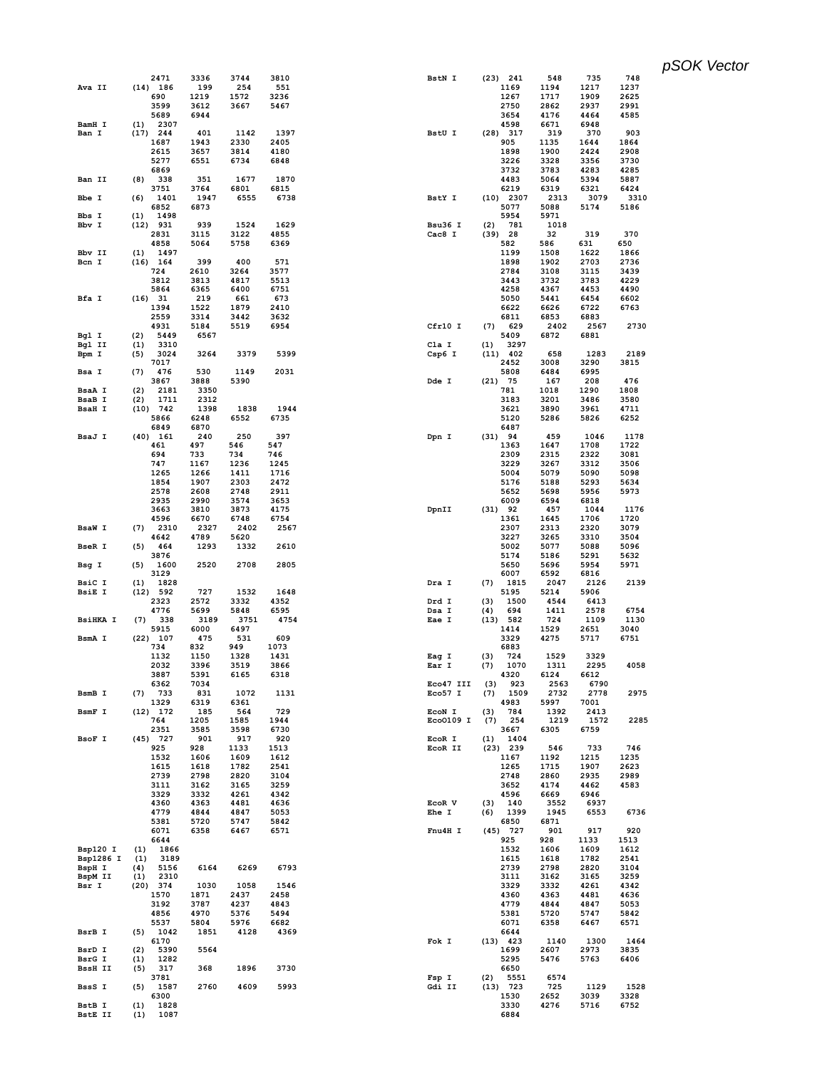|                   | 2471                | 3336         | 3744         | 3810         | BstN I         | $(23)$ 241                | 548          | 735          | 748          |
|-------------------|---------------------|--------------|--------------|--------------|----------------|---------------------------|--------------|--------------|--------------|
| Ava II            | $(14)$ 186          | 199          | 254          | 551          |                | 1169                      | 1194         | 1217         | 1237         |
|                   | 690                 | 1219         | 1572         | 3236         |                | 1267                      | 1717         | 1909         | 2625         |
|                   | 3599                | 3612         | 3667         | 5467         |                | 2750                      | 2862         | 2937         | 2991         |
|                   | 5689                | 6944         |              |              |                | 3654                      | 4176         | 4464         | 4585         |
| BamH I            | 2307<br>(1)         |              |              |              |                | 4598                      | 6671         | 6948         |              |
| Ban I             | $(17)$ 244<br>1687  | 401<br>1943  | 1142<br>2330 | 1397<br>2405 | BstU I         | $(28)$ 317<br>905         | 319<br>1135  | 370<br>1644  | 903<br>1864  |
|                   | 2615                | 3657         | 3814         | 4180         |                | 1898                      | 1900         | 2424         | 2908         |
|                   | 5277                | 6551         | 6734         | 6848         |                | 3226                      | 3328         | 3356         | 3730         |
|                   | 6869                |              |              |              |                | 3732                      | 3783         | 4283         | 4285         |
| Ban II            | (8)<br>338          | 351          | 1677         | 1870         |                | 4483                      | 5064         | 5394         | 5887         |
|                   | 3751                | 3764         | 6801         | 6815         |                | 6219                      | 6319         | 6321         | 6424         |
| Bbe I             | 1401<br>(6)         | 1947         | 6555         | 6738         | BstY I         | $(10)$ 2307               | 2313         | 3079         | 3310         |
|                   | 6852                | 6873         |              |              |                | 5077                      | 5088         | 5174         | 5186         |
| Bbs I             | 1498<br>(1)         |              |              |              |                | 5954                      | 5971         |              |              |
| Bbv I             | $(12)$ 931          | 939          | 1524         | 1629         | Bsu36 I        | (2)<br>781                | 1018         |              |              |
|                   | 2831<br>4858        | 3115<br>5064 | 3122<br>5758 | 4855<br>6369 | Cac8 I         | $(39)$ 28<br>582          | 32<br>586    | 319<br>631   | 370<br>650   |
| Bbv II            | (1)<br>1497         |              |              |              |                | 1199                      | 1508         | 1622         | 1866         |
| Bcn I             | $(16)$ 164          | 399          | 400          | 571          |                | 1898                      | 1902         | 2703         | 2736         |
|                   | 724                 | 2610         | 3264         | 3577         |                | 2784                      | 3108         | 3115         | 3439         |
|                   | 3812                | 3813         | 4817         | 5513         |                | 3443                      | 3732         | 3783         | 4229         |
|                   | 5864                | 6365         | 6400         | 6751         |                | 4258                      | 4367         | 4453         | 4490         |
| Bfa I             | $(16)$ 31           | 219          | 661          | 673          |                | 5050                      | 5441         | 6454         | 6602         |
|                   | 1394                | 1522         | 1879         | 2410         |                | 6622                      | 6626         | 6722         | 6763         |
|                   | 2559                | 3314         | 3442         | 3632         |                | 6811                      | 6853         | 6883         |              |
|                   | 4931<br>5449        | 5184<br>6567 | 5519         | 6954         | Cfr10 I        | (7)<br>629<br>5409        | 2402<br>6872 | 2567         | 2730         |
| Bgl I<br>Bgl II   | (2)<br>(1)<br>3310  |              |              |              | Cla I          | (1)<br>3297               |              | 6881         |              |
| Bpm I             | 3024<br>(5)         | 3264         | 3379         | 5399         | Csp6 I         | $(11)$ 402                | 658          | 1283         | 2189         |
|                   | 7017                |              |              |              |                | 2452                      | 3008         | 3290         | 3815         |
| Bsa I             | (7)<br>476          | 530          | 1149         | 2031         |                | 5808                      | 6484         | 6995         |              |
|                   | 3867                | 3888         | 5390         |              | Dde I          | $(21)$ 75                 | 167          | 208          | 476          |
| BsaA I            | 2181<br>(2)         | 3350         |              |              |                | 781                       | 1018         | 1290         | 1808         |
| BsaB I            | 1711<br>(2)         | 2312         |              |              |                | 3183                      | 3201         | 3486         | 3580         |
| <b>BsaH I</b>     | $(10)$ 742          | 1398         | 1838         | 1944         |                | 3621                      | 3890         | 3961         | 4711         |
|                   | 5866<br>6849        | 6248<br>6870 | 6552         | 6735         |                | 5120<br>6487              | 5286         | 5826         | 6252         |
| BsaJ I            | $(40)$ 161          | 240          | 250          | 397          | Dpn I          | (31) 94                   | 459          | 1046         | 1178         |
|                   | 461                 | 497          | 546          | 547          |                | 1363                      | 1647         | 1708         | 1722         |
|                   | 694                 | 733          | 734          | 746          |                | 2309                      | 2315         | 2322         | 3081         |
|                   | 747                 | 1167         | 1236         | 1245         |                | 3229                      | 3267         | 3312         | 3506         |
|                   | 1265                | 1266         | 1411         | 1716         |                | 5004                      | 5079         | 5090         | 5098         |
|                   | 1854                | 1907         | 2303         | 2472         |                | 5176                      | 5188         | 5293         | 5634         |
|                   | 2578                | 2608         | 2748         | 2911         |                | 5652                      | 5698         | 5956         | 5973         |
|                   | 2935<br>3663        | 2990<br>3810 | 3574<br>3873 | 3653<br>4175 |                | 6009<br>$(31)$ 92         | 6594<br>457  | 6818<br>1044 | 1176         |
|                   | 4596                | 6670         | 6748         | 6754         | DpnII          | 1361                      | 1645         | 1706         | 1720         |
| <b>BsaW I</b>     | 2310<br>(7)         | 2327         | 2402         | 2567         |                | 2307                      | 2313         | 2320         | 3079         |
|                   | 4642                | 4789         | 5620         |              |                | 3227                      | 3265         | 3310         | 3504         |
| <b>BseR I</b>     | 464<br>(5)          | 1293         | 1332         | 2610         |                | 5002                      | 5077         | 5088         | 5096         |
|                   | 3876                |              |              |              |                | 5174                      | 5186         | 5291         | 5632         |
|                   | 1600<br>(5)         |              | 2708         |              |                |                           |              | 5954         | 5971         |
| Bsg I             |                     | 2520         |              | 2805         |                | 5650                      | 5696         |              |              |
|                   | 3129                |              |              |              |                | 6007                      | 6592         | 6816         |              |
| BsiC I            | (1)<br>1828         |              |              |              | Dra I          | (7)<br>1815               | 2047         | 2126         | 2139         |
| <b>BsiE I</b>     | (12) 592            | 727          | 1532         | 1648         |                | 5195                      | 5214         | 5906         |              |
|                   | 2323<br>4776        | 2572<br>5699 | 3332<br>5848 | 4352<br>6595 | Drd I<br>Dsa I | 1500<br>(3)<br>694<br>(4) | 4544<br>1411 | 6413<br>2578 | 6754         |
| <b>BsiHKA I</b>   | (7)<br>338          | 3189         | 3751         | 4754         | Eae I          | (13) 582                  | 724          | 1109         | 1130         |
|                   | 5915                | 6000         | 6497         |              |                | 1414                      | 1529         | 2651         | 3040         |
| BsmA I            | $(22)$ 107          | 475          | 531          | 609          |                | 3329                      | 4275         | 5717         | 6751         |
|                   | 734                 | 832          | 949          | 1073         |                | 6883                      |              |              |              |
|                   | 1132                | 1150         | 1328         | 1431         | Eag I          | (3)<br>724                | 1529         | 3329         |              |
|                   | 2032                | 3396         | 3519         | 3866         | Ear I          | (7)<br>1070               | 1311         | 2295         | 4058         |
|                   | 3887                | 5391         | 6165         | 6318         |                | 4320                      | 6124         | 6612         |              |
|                   | 6362                | 7034         |              | 1131         | Eco47 III      | (3)<br>923                | 2563         | 6790         |              |
| BsmB I            | 733<br>(7)<br>1329  | 831<br>6319  | 1072<br>6361 |              | Eco57 I        | 1509<br>(7)<br>4983       | 2732<br>5997 | 2778<br>7001 | 2975         |
| BsmF I            | $(12)$ 172          | 185          | 564          | 729          | EcoN I         | 784<br>(3)                | 1392         | 2413         |              |
|                   | 764                 | 1205         | 1585         | 1944         | Eco0109 I      | 254<br>(7)                | 1219         | 1572         | 2285         |
|                   | 2351                | 3585         | 3598         | 6730         |                | 3667                      | 6305         | 6759         |              |
| BsoF I            | $(45)$ 727          | 901          | 917          | 920          | EcoR I         | 1404<br>(1)               |              |              |              |
|                   | 925                 | 928          | 1133         | 1513         | EcoR II        | $(23)$ 239                | 546          | 733          | 746          |
|                   | 1532                | 1606         | 1609         | 1612         |                | 1167                      | 1192         | 1215         | 1235         |
|                   | 1615<br>2739        | 1618<br>2798 | 1782<br>2820 | 2541<br>3104 |                | 1265<br>2748              | 1715<br>2860 | 1907<br>2935 | 2623<br>2989 |
|                   | 3111                | 3162         | 3165         | 3259         |                | 3652                      | 4174         | 4462         | 4583         |
|                   | 3329                | 3332         | 4261         | 4342         |                | 4596                      | 6669         | 6946         |              |
|                   | 4360                | 4363         | 4481         | 4636         | EcoR V         | 140<br>(3)                | 3552         | 6937         |              |
|                   | 4779                | 4844         | 4847         | 5053         | Ehe I          | 1399<br>(6)               | 1945         | 6553         | 6736         |
|                   | 5381                | 5720         | 5747         | 5842         |                | 6850                      | 6871         |              |              |
|                   | 6071                | 6358         | 6467         | 6571         | Fnu4H I        | $(45)$ 727                | 901          | 917          | 920          |
| Bsp120 I          | 6644<br>1866<br>(1) |              |              |              |                | 925<br>1532               | 928<br>1606  | 1133<br>1609 | 1513<br>1612 |
| Bsp1286 I         | (1)<br>3189         |              |              |              |                | 1615                      | 1618         | 1782         | 2541         |
| BspH I            | (4)<br>5156         | 6164         | 6269         | 6793         |                | 2739                      | 2798         | 2820         | 3104         |
| BspM II           | (1)<br>2310         |              |              |              |                | 3111                      | 3162         | 3165         | 3259         |
| Bsr I             | $(20)$ 374          | 1030         | 1058         | 1546         |                | 3329                      | 3332         | 4261         | 4342         |
|                   | 1570                | 1871         | 2437         | 2458         |                | 4360                      | 4363         | 4481         | 4636         |
|                   | 3192                | 3787         | 4237         | 4843         |                | 4779                      | 4844         | 4847         | 5053         |
|                   | 4856                | 4970         | 5376         | 5494<br>6682 |                | 5381                      | 5720         | 5747         | 5842         |
| BsrB I            | 5537<br>(5)<br>1042 | 5804<br>1851 | 5976<br>4128 | 4369         |                | 6071<br>6644              | 6358         | 6467         | 6571         |
|                   | 6170                |              |              |              | Fok I          | $(13)$ 423                | 1140         | 1300         | 1464         |
| BsrD I            | 5390<br>(2)         | 5564         |              |              |                | 1699                      | 2607         | 2973         | 3835         |
| BsrG I            | 1282<br>(1)         |              |              |              |                | 5295                      | 5476         | 5763         | 6406         |
| <b>BssH II</b>    | 317<br>(5)          | 368          | 1896         | 3730         |                | 6650                      |              |              |              |
|                   | 3781                |              |              |              | Fsp I          | 5551<br>(2)               | 6574         |              |              |
| BssS I            | 1587<br>(5)         | 2760         | 4609         | 5993         | Gdi II         | $(13)$ 723                | 725          | 1129         | 1528         |
| BstB I<br>BstE II | 6300<br>1828<br>(1) |              |              |              |                | 1530<br>3330              | 2652<br>4276 | 3039<br>5716 | 3328<br>6752 |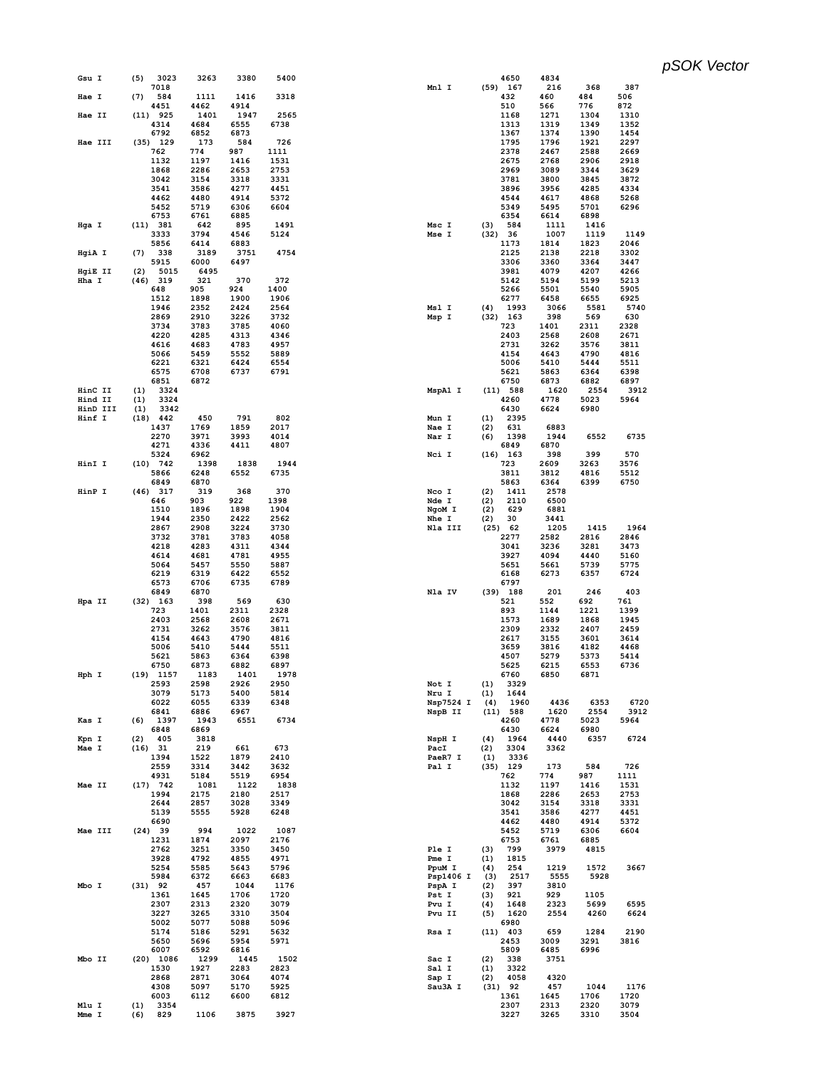| Gsu I    | (5)         | 3023         | 3263         | 3380         | 5400         |                 |            | 4650               | 4834         |              |              |
|----------|-------------|--------------|--------------|--------------|--------------|-----------------|------------|--------------------|--------------|--------------|--------------|
|          |             | 7018         |              |              |              | Mnl I           |            | $(59)$ 167         | 216          | 368          | 387          |
| Hae I    | (7)         | 584<br>4451  | 1111<br>4462 | 1416<br>4914 | 3318         |                 |            | 432<br>510         | 460<br>566   | 484<br>776   | 506<br>872   |
| Hae II   | $(11)$ 925  |              | 1401         | 1947         | 2565         |                 |            | 1168               | 1271         | 1304         | 1310         |
|          |             | 4314         | 4684         | 6555         | 6738         |                 |            | 1313               | 1319         | 1349         | 1352         |
|          |             | 6792         | 6852         | 6873         |              |                 |            | 1367               | 1374         | 1390         | 1454         |
| Hae III  | $(35)$ 129  |              | 173          | 584          | 726          |                 |            | 1795               | 1796         | 1921         | 2297         |
|          |             | 762          | 774          | 987          | 1111         |                 |            | 2378               | 2467         | 2588         | 2669         |
|          |             | 1132<br>1868 | 1197<br>2286 | 1416<br>2653 | 1531<br>2753 |                 |            | 2675<br>2969       | 2768<br>3089 | 2906<br>3344 | 2918<br>3629 |
|          |             | 3042         | 3154         | 3318         | 3331         |                 |            | 3781               | 3800         | 3845         | 3872         |
|          |             | 3541         | 3586         | 4277         | 4451         |                 |            | 3896               | 3956         | 4285         | 4334         |
|          |             | 4462         | 4480         | 4914         | 5372         |                 |            | 4544               | 4617         | 4868         | 5268         |
|          |             | 5452         | 5719         | 6306         | 6604         |                 |            | 5349               | 5495         | 5701         | 6296         |
|          |             | 6753         | 6761         | 6885         |              |                 |            | 6354               | 6614         | 6898         |              |
| Hga I    | (11)        | 381          | 642          | 895          | 1491         | Msc I<br>Mse I  | (3)        | 584                | 1111         | 1416         |              |
|          |             | 3333<br>5856 | 3794<br>6414 | 4546<br>6883 | 5124         |                 | (32)       | - 36<br>1173       | 1007<br>1814 | 1119<br>1823 | 1149<br>2046 |
| HgiA I   | (7)         | 338          | 3189         | 3751         | 4754         |                 |            | 2125               | 2138         | 2218         | 3302         |
|          |             | 5915         | 6000         | 6497         |              |                 |            | 3306               | 3360         | 3364         | 3447         |
| HgiE II  | (2)         | 5015         | 6495         |              |              |                 |            | 3981               | 4079         | 4207         | 4266         |
| Hha I    | $(46)$ 319  |              | 321          | 370          | 372          |                 |            | 5142               | 5194         | 5199         | 5213         |
|          |             | 648          | 905          | 924          | 1400         |                 |            | 5266               | 5501         | 5540         | 5905         |
|          |             | 1512<br>1946 | 1898<br>2352 | 1900<br>2424 | 1906<br>2564 | Msl I           | (4)        | 6277<br>1993       | 6458<br>3066 | 6655<br>5581 | 6925<br>5740 |
|          |             | 2869         | 2910         | 3226         | 3732         | Msp I           |            | $(32)$ 163         | 398          | 569          | 630          |
|          |             | 3734         | 3783         | 3785         | 4060         |                 |            | 723                | 1401         | 2311         | 2328         |
|          |             | 4220         | 4285         | 4313         | 4346         |                 |            | 2403               | 2568         | 2608         | 2671         |
|          |             | 4616         | 4683         | 4783         | 4957         |                 |            | 2731               | 3262         | 3576         | 3811         |
|          |             | 5066         | 5459         | 5552         | 5889         |                 |            | 4154               | 4643         | 4790         | 4816         |
|          |             | 6221         | 6321         | 6424         | 6554         |                 |            | 5006               | 5410         | 5444         | 5511         |
|          |             | 6575         | 6708         | 6737         | 6791         |                 |            | 5621               | 5863         | 6364         | 6398         |
| HinC II  | (1)         | 6851<br>3324 | 6872         |              |              | MspA1 I         |            | 6750<br>$(11)$ 588 | 6873<br>1620 | 6882<br>2554 | 6897<br>3912 |
| Hind II  | (1)         | 3324         |              |              |              |                 |            | 4260               | 4778         | 5023         | 5964         |
| HinD III | (1)         | 3342         |              |              |              |                 |            | 6430               | 6624         | 6980         |              |
| Hinf I   | $(18)$ 442  |              | 450          | 791          | 802          | Mun I           | (1)        | 2395               |              |              |              |
|          |             | 1437         | 1769         | 1859         | 2017         | Nae I           | (2)        | 631                | 6883         |              |              |
|          |             | 2270         | 3971         | 3993         | 4014         | Nar I           | (6)        | 1398               | 1944         | 6552         | 6735         |
|          |             | 4271         | 4336         | 4411         | 4807         |                 |            | 6849               | 6870         |              |              |
| HinI I   | $(10)$ 742  | 5324         | 6962<br>1398 | 1838         | 1944         | Nci I           | (16)       | 163<br>723         | 398<br>2609  | 399<br>3263  | 570<br>3576  |
|          |             | 5866         | 6248         | 6552         | 6735         |                 |            | 3811               | 3812         | 4816         | 5512         |
|          |             | 6849         | 6870         |              |              |                 |            | 5863               | 6364         | 6399         | 6750         |
| HinP I   | $(46)$ 317  |              | 319          | 368          | 370          | Nco I           | (2)        | 1411               | 2578         |              |              |
|          |             | 646          | 903          | 922          | 1398         | Nde I           | (2)        | 2110               | 6500         |              |              |
|          |             | 1510         | 1896         | 1898         | 1904         | NgoM I          | (2)        | 629                | 6881         |              |              |
|          |             | 1944         | 2350         | 2422         | 2562         | Nhe I           | (2)        | 30                 | 3441         |              |              |
|          |             | 2867<br>3732 | 2908<br>3781 | 3224<br>3783 | 3730<br>4058 | Nla III         | (25)       | 62<br>2277         | 1205<br>2582 | 1415<br>2816 | 1964<br>2846 |
|          |             | 4218         | 4283         | 4311         | 4344         |                 |            | 3041               | 3236         | 3281         | 3473         |
|          |             | 4614         | 4681         | 4781         | 4955         |                 |            | 3927               | 4094         | 4440         | 5160         |
|          |             | 5064         | 5457         | 5550         | 5887         |                 |            | 5651               | 5661         | 5739         | 5775         |
|          |             | 6219         | 6319         | 6422         | 6552         |                 |            | 6168               | 6273         | 6357         | 6724         |
|          |             | 6573         | 6706         | 6735         | 6789         |                 |            | 6797               |              |              |              |
|          |             | 6849         | 6870         |              |              | Nla IV          |            | $(39)$ 188         | 201          | 246          | 403          |
| Hpa II   | $(32)$ 163  | 723          | 398<br>1401  | 569<br>2311  | 630<br>2328  |                 |            | 521<br>893         | 552<br>1144  | 692<br>1221  | 761<br>1399  |
|          |             | 2403         | 2568         | 2608         | 2671         |                 |            | 1573               | 1689         | 1868         | 1945         |
|          |             | 2731         | 3262         | 3576         | 3811         |                 |            | 2309               | 2332         | 2407         | 2459         |
|          |             | 4154         | 4643         | 4790         | 4816         |                 |            | 2617               | 3155         | 3601         | 3614         |
|          |             | 5006         | 5410         | 5444         | 5511         |                 |            | 3659               | 3816         | 4182         | 4468         |
|          |             | 5621         | 5863         | 6364         | 6398         |                 |            | 4507               | 5279         | 5373         | 5414         |
| Hph I    | $(19)$ 1157 | 6750         | 6873<br>1183 | 6882<br>1401 | 6897<br>1978 |                 |            | 5625<br>6760       | 6215<br>6850 | 6553<br>6871 | 6736         |
|          |             | 2593         | 2598         | 2926         | 2950         | Not I           | (1)        | 3329               |              |              |              |
|          |             | 3079         | 5173         | 5400         | 5814         | Nru I           | (1)        | 1644               |              |              |              |
|          |             | 6022         | 6055         | 6339         | 6348         | Nsp7524 I       | (4)        | 1960               | 4436         | 6353         | 6720         |
|          |             | 6841         | 6886         | 6967         |              | NspB II         |            | (11) 588           | 1620         | 2554         | 3912         |
| Kas I    | (6)         | 1397         | 1943         | 6551         | 6734         |                 |            | 4260               | 4778         | 5023         | 5964         |
| Kpn I    | (2)         | 6848<br>405  | 6869<br>3818 |              |              | NspH I          | (4)        | 6430<br>1964       | 6624<br>4440 | 6980<br>6357 | 6724         |
| Mae I    | $(16)$ 31   |              | 219          | 661          | 673          | PacI            | (2)        | 3304               | 3362         |              |              |
|          |             | 1394         | 1522         | 1879         | 2410         | PaeR7 I         | (1)        | 3336               |              |              |              |
|          |             | 2559         | 3314         | 3442         | 3632         | Pal I           |            | $(35)$ 129         | 173          | 584          | 726          |
|          |             | 4931         | 5184         | 5519         | 6954         |                 |            | 762                | 774          | 987          | 1111         |
| Mae II   | $(17)$ 742  | 1994         | 1081<br>2175 | 1122<br>2180 | 1838<br>2517 |                 |            | 1132<br>1868       | 1197<br>2286 | 1416<br>2653 | 1531<br>2753 |
|          |             | 2644         | 2857         | 3028         | 3349         |                 |            | 3042               | 3154         | 3318         | 3331         |
|          |             | 5139         | 5555         | 5928         | 6248         |                 |            | 3541               | 3586         | 4277         | 4451         |
|          |             | 6690         |              |              |              |                 |            | 4462               | 4480         | 4914         | 5372         |
| Mae III  | $(24)$ 39   |              | 994          | 1022         | 1087         |                 |            | 5452               | 5719         | 6306         | 6604         |
|          |             | 1231         | 1874         | 2097         | 2176         |                 |            | 6753               | 6761         | 6885         |              |
|          |             | 2762         | 3251         | 3350         | 3450<br>4971 | Ple I           | (3)        | 799                | 3979         | 4815         |              |
|          |             | 3928<br>5254 | 4792<br>5585 | 4855<br>5643 | 5796         | Pme I<br>PpuM I | (1)<br>(4) | 1815<br>254        | 1219         | 1572         | 3667         |
|          |             | 5984         | 6372         | 6663         | 6683         | Psp1406 I       | (3)        | 2517               | 5555         | 5928         |              |
| Mbo I    | (31) 92     |              | 457          | 1044         | 1176         | PspA I          | (2)        | 397                | 3810         |              |              |
|          |             | 1361         | 1645         | 1706         | 1720         | Pst I           | (3)        | 921                | 929          | 1105         |              |
|          |             | 2307         | 2313         | 2320         | 3079         | Pvu I           | (4)        | 1648               | 2323         | 5699         | 6595         |
|          |             | 3227         | 3265         | 3310         | 3504         | Pvu II          | (5)        | 1620               | 2554         | 4260         | 6624         |
|          |             | 5002<br>5174 | 5077<br>5186 | 5088<br>5291 | 5096<br>5632 | Rsa I           |            | 6980<br>$(11)$ 403 | 659          | 1284         | 2190         |
|          |             | 5650         | 5696         | 5954         | 5971         |                 |            | 2453               | 3009         | 3291         | 3816         |
|          |             | 6007         | 6592         | 6816         |              |                 |            | 5809               | 6485         | 6996         |              |
| Mbo II   | $(20)$ 1086 |              | 1299         | 1445         | 1502         | Sac I           | (2)        | 338                | 3751         |              |              |
|          |             | 1530         | 1927         | 2283         | 2823         | Sal I           | (1)        | 3322               |              |              |              |
|          |             | 2868         | 2871         | 3064         | 4074         | Sap I           | (2)        | 4058               | 4320         |              |              |
|          |             | 4308         | 5097         | 5170         | 5925         | Sau3A I         |            | $(31)$ 92          | 457          | 1044         | 1176<br>1720 |
| Mlu I    | (1)         | 6003<br>3354 | 6112         | 6600         | 6812         |                 |            | 1361<br>2307       | 1645<br>2313 | 1706<br>2320 | 3079         |
| Mme I    | (6)         | 829          | 1106         | 3875         | 3927         |                 |            | 3227               | 3265         | 3310         | 3504         |
|          |             |              |              |              |              |                 |            |                    |              |              |              |